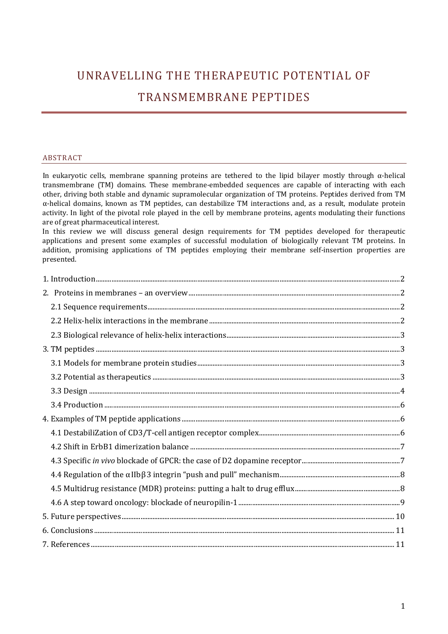# UNRAVELLING THE THERAPEUTIC POTENTIAL OF TRANSMEMBRANE PEPTIDES

## ABSTRACT

In eukaryotic cells, membrane spanning proteins are tethered to the lipid bilayer mostly through  $\alpha$ -helical transmembrane (TM) domains. These membrane‐embedded sequences are capable of interacting with each other, driving both stable and dynamic supramolecular organization of TM proteins. Peptides derived from TM α‐helical domains, known as TM peptides, can destabilize TM interactions and, as a result, modulate protein activity. In light of the pivotal role played in the cell by membrane proteins, agents modulating their functions are of great pharmaceutical interest.

In this review we will discuss general design requirements for TM peptides developed for therapeutic applications and present some examples of successful modulation of biologically relevant TM proteins. In addition, promising applications of TM peptides employing their membrane self-insertion properties are presented.

| $5. \; Future \; perspectives. \label{prop:1} \rule{2.9cm}{0.9cm} 10$ |  |
|-----------------------------------------------------------------------|--|
| $6. Conclusions. 11$                                                  |  |
|                                                                       |  |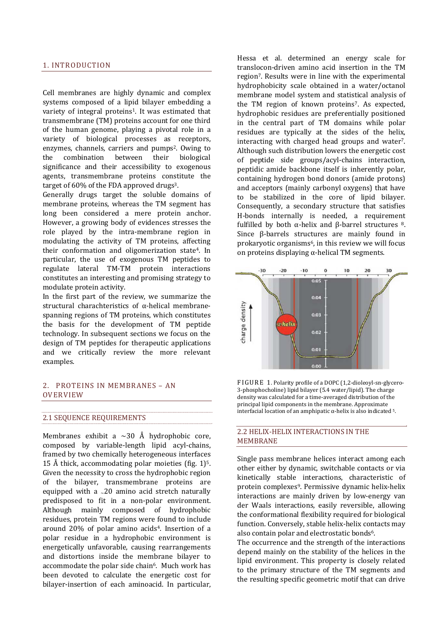#### <span id="page-1-0"></span>1. INTRODUCTION

Cell membranes are highly dynamic and complex systems composed of a lipid bilayer embedding a variety of integral proteins<sup>1</sup>. It was estimated that transmembrane (TM) proteins account for one third of the human genome, playing a pivotal role in a variety of biological processes as receptors, enzymes, channels, carriers and pumps<sup>2</sup>. Owing to the combination between their biological significance and their accessibility to exogenous agents, transmembrane proteins constitute the target of 60% of the FDA approved drugs<sup>3</sup>.

Generally drugs target the soluble domains of membrane proteins, whereas the TM segment has long been considered a mere protein anchor. However, a growing body of evidences stresses the role played by the intra‐membrane region in modulating the activity of TM proteins, affecting their conformation and oligomerization state4. In particular, the use of exogenous TM peptides to regulate lateral TM‐TM protein interactions constitutes an interesting and promising strategy to modulate protein activity.

In the first part of the review, we summarize the structural charachteristics of α-helical membranespanning regions of TM proteins, which constitutes the basis for the development of TM peptide technology. In subsequent sections we focus on the design of TM peptides for therapeutic applications and we critically review the more relevant examples.

#### 2. PROTEINS IN MEMBRANES – AN OVERVIEW

#### 2.1 SEQUENCE REQUIREMENTS

Membranes exhibit a  $\sim$ 30 Å hydrophobic core, composed by variable‐length lipid acyl‐chains, framed by two chemically heterogeneous interfaces 15 Å thick, accommodating polar moieties (fig.  $1$ )<sup>5</sup>. Given the necessity to cross the hydrophobic region of the bilayer, transmembrane proteins are equipped with a  $\sim$  20 amino acid stretch naturally predisposed to fit in a non‐polar environment. Although mainly composed of hydrophobic residues, protein TM regions were found to include around 20% of polar amino acids4. Insertion of a polar residue in a hydrophobic environment is energetically unfavorable, causing rearrangements and distortions inside the membrane bilayer to accommodate the polar side chain<sup>6</sup>. Much work has been devoted to calculate the energetic cost for bilayer‐insertion of each aminoacid. In particular, Hessa et al. determined an energy scale for translocon‐driven amino acid insertion in the TM region7. Results were in line with the experimental hydrophobicity scale obtained in a water/octanol membrane model system and statistical analysis of the TM region of known proteins<sup>7</sup>. As expected, hydrophobic residues are preferentially positioned in the central part of TM domains while polar residues are typically at the sides of the helix, interacting with charged head groups and water7. Although such distribution lowers the energetic cost of peptide side groups/acyl‐chains interaction, peptidic amide backbone itself is inherently polar, containing hydrogen bond donors (amide protons) and acceptors (mainly carbonyl oxygens) that have to be stabilized in the core of lipid bilayer. Consequently, a secondary structure that satisfies H-bonds internally is needed, a requirement fulfilled by both  $\alpha$ -helix and β-barrel structures 8. Since β-barrels structures are mainly found in prokaryotic organisms<sup>6</sup>, in this review we will focus on proteins displaying  $\alpha$ -helical TM segments.



FIGURE 1. Polarity profile of a DOPC (1,2-dioleoyl-sn-glycero-3‐phosphocholine) lipid bilayer (5.4 water/lipid). The charge density was calculated for a time‐averaged distribution of the principal lipid components in the membrane. Approximate interfacial location of an amphipatic  $α$ -helix is also indicated <sup>5</sup>.

## 2.2 HELIX‐HELIX INTERACTIONS IN THE MEMBRANE

Single pass membrane helices interact among each other either by dynamic, switchable contacts or via kinetically stable interactions, characteristic of protein complexes9. Permissive dynamic helix‐helix interactions are mainly driven by low-energy van der Waals interactions, easily reversible, allowing the conformational flexibility required for biological function. Conversely, stable helix‐helix contacts may also contain polar and electrostatic bonds<sup>6</sup>.

The occurrence and the strength of the interactions depend mainly on the stability of the helices in the lipid environment. This property is closely related to the primary structure of the TM segments and the resulting specific geometric motif that can drive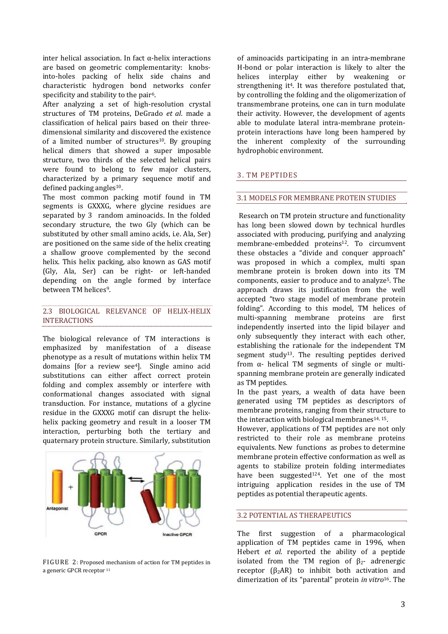<span id="page-2-0"></span>inter helical association. In fact  $\alpha$ -helix interactions are based on geometric complementarity: knobsinto‐holes packing of helix side chains and characteristic hydrogen bond networks confer specificity and stability to the pair<sup>6</sup>.

After analyzing a set of high-resolution crystal structures of TM proteins, DeGrado *et al*. made a classification of helical pairs based on their three‐ dimensional similarity and discovered the existence of a limited number of structures<sup>10</sup>. By grouping helical dimers that showed a super imposable structure, two thirds of the selected helical pairs were found to belong to few major clusters, char acterized by a primary sequence motif and defined packing angles $10$ .

The most common packing motif found in TM segments is GXXXG, where glycine residues are separated by 3 random aminoacids. In the folded secondary structure, the two Gly (which can be substituted by other small amino acids, i.e. Ala, Ser) are positioned on the same side of the helix creating a shallow groove complemented by the second helix. This helix packing, also known as GAS motif (Gly, Ala, Ser) can be right‐ or left‐handed depending on the angle formed by interface between TM helices<sup>9</sup>.

## 2.3 BIOLOGICAL RELEVANCE OF HELIX‐HELIX INTERACTIONS

The biological relevance of TM interactions is emphasized by manifestation of a disease phenotype as a result of mutations within helix TM domains [for a review see<sup>4</sup>]. Single amino acid substitutions can either affect correct protein folding and complex assembly or interfere with conformational changes associated with signal transduction. For instance, mutations of a glycine residue in the GXXXG motif can disrupt the helix‐ helix packing geometry and result in a looser TM interaction, perturbing both the tertiary and quaternary protein structure. Similarly, substitution



FIGURE 2: Proposed mechanism of action for TM peptides in a generic GPCR receptor <sup>11</sup>

of aminoacids participating in an intra‐membrane H‐bond or polar interaction is likely to alter the helices interplay either by weakening or strengthening it<sup>4</sup>. It was therefore postulated that, by controlling the folding and the oligomerization of transmembrane proteins, one can in turn modulate their activity. However, the development of agents able to modulate lateral intra-membrane proteinprotein interactions have long been hampered by the inherent complexity of the surrounding hydrophobic environment.

## 3. TM PEPTIDES

## 3.1 MODELS FOR MEMBRANE PROTEIN STUDIES

 Research on TM protein structure and functionality has long been slowed down by technical hurdles associated with producing, purifying and analyzing membrane-embedded proteins<sup>12</sup>. To circumvent these obstacles a "divide and conquer approach" was proposed in which a complex, multi span membrane protein is broken down into its TM components, easier to produce and to analyze5. The approach draws its justification from the well accepted "two stage model of membrane protein folding". According to this model, TM helices of multi-spanning membrane proteins are first independently inserted into the lipid bilayer and only subsequently they interact with each other, establishing the rationale for the independent TM segment study<sup>13</sup>. The resulting peptides derived from  $\alpha$ - helical TM segments of single or multispanning membrane protein are generally indicated as TM peptides.

In the past years, a wealth of data have been generated using TM peptides as descriptors of membrane proteins, ranging from their structure to the interaction with biological membranes<sup>14, 15</sup>.

However, applications of TM peptides are not only restricted to their role as membrane proteins equivalents. New functions as probes to determine membrane protein effective conformation as well as agents to stabilize protein folding intermediates have been suggested<sup>124</sup>. Yet one of the most intriguing application resides in the use of TM peptides as potential therapeutic agents.

#### 3.2 POTENTIAL AS THERAPEUTICS

The first suggestion of a pharmacological application of TM peptides came in 1996, when Hebert *et al*. reported the ability of a peptide isolated from the TM region of  $\beta_2$ - adrenergic receptor  $(\beta_2 AR)$  to inhibit both activation and dimerization of its "parental" protein *in vitro*16. The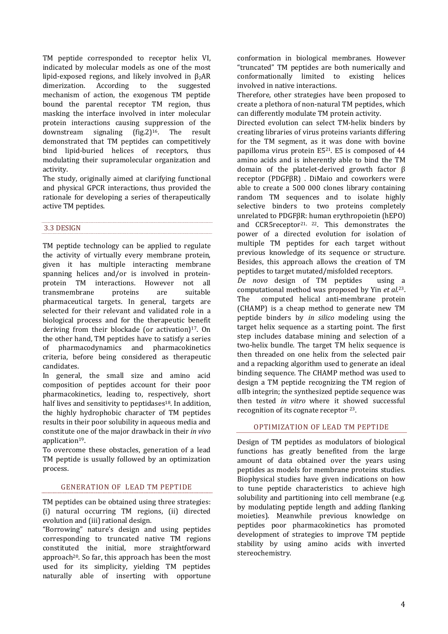<span id="page-3-0"></span>TM peptide corresponded to receptor helix VI, indicated by molecular models as one of the most lipid-exposed regions, and likely involved in  $\beta_2AR$ dimerization. According to the suggested mechanism of action, the exogenous TM peptide bound the parental receptor TM region, thus masking the interface involved in inter molecular protein interactions causing suppression of the downstream signaling (fig.2)<sup>16</sup>. The result demonstrated that TM peptides can competitively bind lipid‐buried helices of receptors, thus modulating their supramolecular organization and activity.

The study, originally aimed at clarifying functional and physical GPCR interactions, thus provided the rationale for developing a series of therapeutically active TM peptides.

# 3.3 DESIGN

TM peptide technology can be applied to regulate the activity of virtually every membrane protein, given it has multiple interacting membrane spanning helices and/or is involved in proteinprotein TM interactions. However not all transmembrane proteins are suitable pharmaceutical targets. In general, targets are selected for their relevant and validated role in a biological process and for the therapeutic benefit deriving from their blockade (or activation) $17$ . On the other hand, TM peptides have to satisfy a series of pharmacodynamics and pharmacokinetics criteria, before being considered as therapeutic candidates.

In general, the small size and amino acid composition of peptides account for their poor pharmacokinetics, leading to, respectively, short half lives and sensitivity to peptidases $18$ . In addition, the highly hydrophobic character of TM peptides results in their poor solubility in aqueous media and constitute one of the major drawback in their *in vivo* application<sup>19</sup>.

To overcome these obstacles, generation of a lead TM peptide is usually followed by an optimization process.

## GENERATION OF LEAD TM PEPTIDE

TM peptides can be obtained using three strategies:  $(i)$  natural occurring TM regions,  $(ii)$  directed evolution and (iii) rational design.

"Borrowing" nature's design and using peptides corresponding to truncated native TM regions constituted the initial, more straightforward approach<sup>20</sup>. So far, this approach has been the most used for its simplicity, yielding TM peptides naturally able of inserting with opportune

conformation in biological membranes. However "truncated" TM peptides are both numerically and conformationally limited to existing helices involved in native interactions.

Therefore, other strategies have been proposed to create a plethora of non‐natural TM peptides, which can differently modulate TM protein activity.

Directed evolution can select TM-helix binders by creating libraries of virus proteins variants differing for the TM segment, as it was done with bovine papilloma virus protein  $E5^{21}$ . E5 is composed of 44 amino acids and is inherently able to bind the TM domain of the platelet‐derived growth factor β receptor (PDGFβR) . DiMaio and coworkers were able to create a 500 000 clones library containing random TM sequences and to isolate highly selective binders to two proteins completely unrelated to PDGFβR: human erythropoietin (hEPO) and CCR5receptor<sup>21, 22</sup>. This demonstrates the power of a directed evolution for isolation of multiple TM peptides for each target without previous knowledge of its sequence or structure. Besides, this approach allows the creation of TM peptides to target mutated/misfolded receptors.

*De novo* design of TM peptides using a computational method was proposed by Yin *et al*. 23. The computed helical anti-membrane protein (CHAMP) is a cheap method to generate new TM peptide binders by *in silico* modeling using the target helix sequence as a starting point. The first step includes database mining and selection of a two-helix bundle. The target TM helix sequence is then threaded on one helix from the selected pair and a repacking algorithm used to generate an ideal binding sequence. The CHAMP method was used to design a TM peptide recognizing the TM region of αIIb integrin; the synthesized peptide sequence was then tested *in vitro* where it showed successful recognition of its cognate receptor 23.

#### OPTIMIZATION OF LEAD TM PEPTIDE

Design of TM peptides as modulators of biological functions has greatly benefited from the large amount of data obtained over the years using peptides as models for membrane proteins studies. Biophysical studies have given indications on how to tune peptide characteristics to achieve high solubility and partitioning into cell membrane (e.g. by modulating peptide length and adding flanking moieties). Meanwhile previous knowledge on peptides poor pharmacokinetics has promoted development of strategies to improve TM peptide stability by using amino acids with inverted stereochemistry.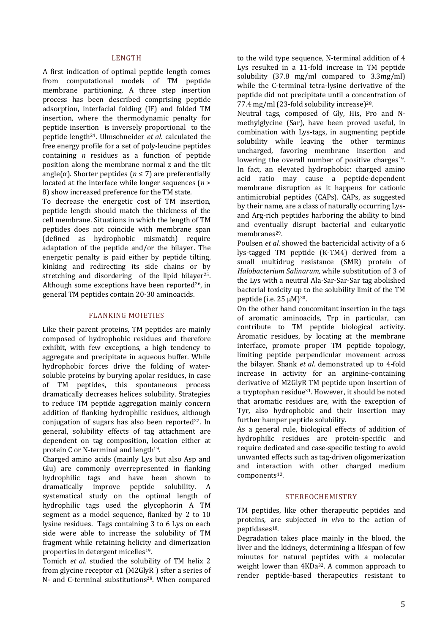#### LENGTH

A first indication of optimal peptide length comes from computational models of TM peptide membrane partitioning. A three step insertion process has been described comprising peptide adsorption, interfacial folding (IF) and folded TM insertion, where the thermodynamic penalty for peptide insertion is inversely proportional to the peptide length24. Ulmschneider *et al*. calculated the free energy profile for a set of poly‐leucine peptides containing *n* residues as a function of peptide position along the membrane normal z and the tilt angle( $\alpha$ ). Shorter peptides ( $n \le 7$ ) are preferentially located at the interface while longer sequences  $(n >$ 8) show increased preference for the TM state.

To decrease the energetic cost of TM insertion, peptide length should match the thickness of the cell membrane. Situations in which the length of TM peptides does not coincide with membrane span (defined as hydrophobic mismatch) require adaptation of the peptide and/or the bilayer. The energetic penalty is paid either by peptide tilting, kinking and redirecting its side chains or by stretching and disordering of the lipid bilayer<sup>25</sup>. Although some exceptions have been reported $26$ , in general TM peptides contain 20‐30 aminoacids.

#### FLANKING MOIETIES

Like their parent proteins, TM peptides are mainly composed of hydrophobic residues and therefore exhibit, with few exceptions, a high tendency to aggregate and precipitate in aqueous buffer. While hydrophobic forces drive the folding of watersoluble proteins by burying apolar residues, in case of TM peptides, this spontaneous process dramatically decreases helices solubility. Strategies to reduce TM peptide aggregation mainly concern addition of flanking hydrophilic residues, although conjugation of sugars has also been reported $27$ . In general, solubility effects of tag attachment are dependent on tag composition, location either at protein C or N‐terminal and length19.

Charged amino acids (mainly Lys but also Asp and Glu) are commonly overrepresented in flanking hydrophilic tags and have been shown to dramatically improve peptide solubility. A systematical study on the optimal length of hydrophilic tags used the glycophorin A TM segment as a model sequence, flanked by 2 to 10 lysine residues. Tags containing 3 to 6 Lys on each side were able to increase the solubility of TM fragment while retaining helicity and dimerization properties in detergent micelles19.

Tomich *et al*. studied the solubility of TM helix 2 from glycine receptor  $\alpha$ 1 (M2GlyR) sfter a series of N- and C-terminal substitutions<sup>28</sup>. When compared to the wild type sequence, N-terminal addition of 4 Lys resulted in a 11‐fold increase in TM peptide solubility (37.8 mg/ml compared to 3.3mg/ml) while the C-terminal tetra-lysine derivative of the peptide did not precipitate until a concentration of 77.4 mg/ml (23‐fold solubility increase)28.

Neutral tags, composed of Gly, His, Pro and N‐ methylglycine (Sar), have been proved useful, in combination with Lys‐tags, in augmenting peptide solubility while leaving the other terminus uncharged, favoring membrane insertion and lowering the overall number of positive charges<sup>19</sup>. In fact, an elevated hydrophobic: charged amino acid ratio may cause a peptide‐dependent membrane disruption as it happens for cationic antimicrobial peptides (CAPs). CAPs, as suggested by their name, are a class of naturally occurring Lys‐ and Arg‐rich peptides harboring the ability to bind and eventually disrupt bacterial and eukaryotic membranes<sup>29</sup>.

Poulsen *et al*. showed the bactericidal activity of a 6 lys‐tagged TM peptide (K‐TM4) derived from a small multidrug resistance (SMR) protein of *Halobacterium Salinarum,* while substitution of 3 of the Lys with a neutral Ala‐Sar‐Sar‐Sar tag abolished bacterial toxicity up to the solubility limit of the TM peptide (i.e.  $25 \mu M$ )<sup>30</sup>.

On the other hand concomitant insertion in the tags of aromatic aminoacids, Trp in particular, can contribute to TM peptide biological activity. Aromatic residues, by locating at the membrane interface, promote proper TM peptide topology, limiting peptide perpendicular movement across the bilayer. Shank *et al*. demonstrated up to 4‐fold increase in activity for an arginine‐containing derivative of M2GlyR TM peptide upon insertion of a tryptophan residue<sup>31</sup>. However, it should be noted that aromatic residues are, with the exception of Tyr, also hydrophobic and their insertion may further hamper peptide solubility.

As a general rule, biological effects of addition of hydrophilic residues are protein‐specific and require dedicated and case‐specific testing to avoid unwanted effects such as tag‐driven oligomerization and interaction with other charged medium components<sup>12</sup>.

#### STEREOCHEMISTRY

TM peptides, like other therapeutic peptides and proteins, are subjected *in vivo* to the action of peptidases18.

Degradation takes place mainly in the blood, the liver and the kidneys, determining a lifespan of few minutes for natural peptides with a molecular weight lower than 4KDa<sup>32</sup>. A common approach to render peptide‐based therapeutics resistant to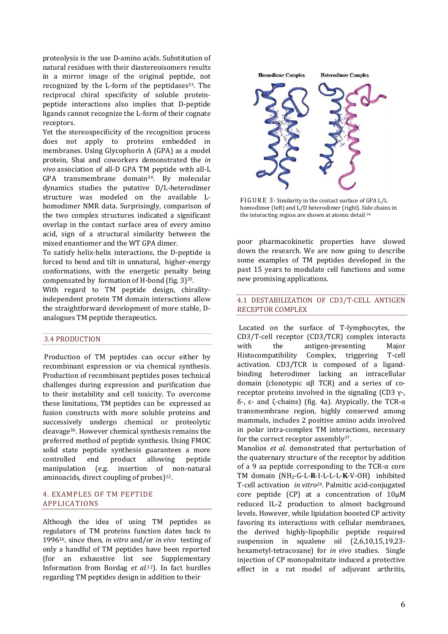<span id="page-5-0"></span>proteolysis is the use D‐amino acids. Substitution of natural residues with their diastereoisomers results in a mirror image of the original peptide, not recognized by the  $L$ -form of the peptidases<sup>33</sup>. The reciprocal chiral specificity of soluble protein‐ peptide interactions also implies that D‐peptide ligands cannot recognize the L‐form of their cognate receptors.

Yet the stereospecificity of the recognition process does not apply to proteins embedded in membranes. Using Glycophorin A (GPA) as a model protein, Shai and coworkers demonstrated the *in vivo* association of all‐D GPA TM peptide with all‐L GPA transmembrane domain34. By molecular dynamics studies the putative D/L‐heterodimer structure was modeled on the available L‐ homodimer NMR data. Surprisingly, comparison of the two complex structures indicated a significant overlap in the contact surface area of every amino acid, sign of a structural similarity between the mixed enantiomer and the WT GPA dimer.

To satisfy helix‐helix interactions, the D‐peptide is forced to bend and tilt in unnatural, higher‐energy conformations, with the energetic penalty being compensated by formation of H‐bond (fig. 3)35.

With regard to TM peptide design, chiralityindependent protein TM domain interactions allow the straightforward development of more stable, D‐ analogues TM peptide therapeutics.

#### 3.4 PRODUCTION

Production of TM peptides can occur either by recombinant expression or via chemical synthesis. Production of recombinant peptides poses technical challenges during expression and purification due to their instability and cell toxicity. To overcome these limitations, TM peptides can be expressed as fusion constructs with more soluble proteins and successively undergo chemical or proteolytic cleavage36. However chemical synthesis remains the preferred method of peptide synthesis. Using FMOC solid state peptide synthesis guarantees a more controlled end product allowing peptide manipulation (e.g. insertion of non-natural aminoacids, direct coupling of probes) $12$ .

#### 4. EXAMPLES OF TM PEPTIDE APPLICATIONS

Although the idea of using TM peptides as regulators of TM proteins function dates back to 199616, since then, *in vitro* and/or *in vivo* testing of only a handful of TM peptides have been reported (for an exhaustive list see Supplementary Information from Bordag *et al*. 12). In fact hurdles regarding TM peptides design in addition to their



FIGURE 3: Similarity in the contact surface of GPA L/L homodimer (left) and L/D heterodimer (right). Side chains in the interacting region are shown at atomic detail 34

poor pharmacokinetic properties have slowed down the research. We are now going to describe some examples of TM peptides developed in the past 15 years to modulate cell functions and some new promising applications.

## 4.1 DESTABILIZATION OF CD3/T‐CELL ANTIGEN RECEPTOR COMPLEX

 Located on the surface of T‐lymphocytes, the CD3/T‐cell receptor (CD3/TCR) complex interacts with the antigen-presenting Major Histocompatibility Complex, triggering T‐cell activation. CD3/TCR is composed of a ligand‐ binding heterodimer lacking an intracellular domain (clonotypic  $\alpha$ β TCR) and a series of coreceptor proteins involved in the signaling (CD3  $\gamma$ -, δ-,  $ε$ - and  $ζ$ -chains) (fig. 4a). Atypically, the TCR- $α$ transmembrane region, highly conserved among mammals, includes 2 positive amino acids involved in polar intra-complex TM interactions, necessary for the correct receptor assembly<sup>37</sup>.

Manolios *et al*. demonstrated that perturbation of the quaternary structure of the receptor by addition of a 9 aa peptide corresponding to the  $TCR-\alpha$  core TM domain (NH2‐G‐L‐**R**‐I‐L‐L‐L‐**K**‐V‐OH) inhibited T‐cell activation *in vitro26*. Palmitic acid‐conjugated core peptide (CP) at a concentration of 10μM reduced IL‐2 production to almost background levels. However, while lipidation boosted CP activity favoring its interactions with cellular membranes, the derived highly‐lipophilic peptide required suspension in squalene oil  $(2,6,10,15,19,23$ hexametyl-tetracosane) for *in vivo* studies. Single injection of CP monopalmitate induced a protective effect in a rat model of adjuvant arthritis,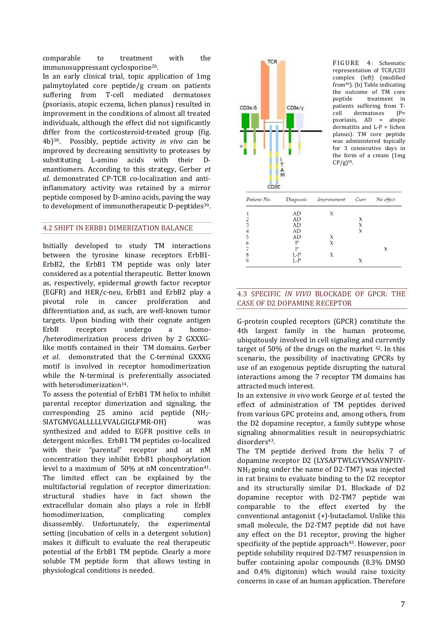<span id="page-6-0"></span>comparable to treatment with the immunosuppressant cyclosporine26. treatment

In an early clinical trial, topic application of 1mg palmytoylated core peptide/g cream on patients suffering from T-cell mediated dermatoses (psoriasis, atopic eczema, lichen planus) resulted in improvement in the conditions of almost all treated individuals, although the effect did not significantly differ from the corticosteroid-treated group (fig. 4b)38. Possibly, peptide activity *in vivo* can be improved by decreasing sensitivity to proteases by substituting L-amino acids with their Denantiomers. According to this strategy, Gerber *et al.* demonstrated CP‐TCR co‐localization and anti‐ inflammatory activity was retained by a mirror peptide composed by D‐amino acids, paving the way to development of immunotherapeutic D-peptides<sup>39</sup>.

## 4.2 SHIFT IN ERBB1 DIMERIZATION BALANCE

Initially developed to study TM interactions between the tyrosine kinase receptors ErbB1‐ ErbB2, the ErbB1 TM peptide was only later considered as a potential therapeutic. Better known as, respectively, epidermal growth factor receptor (EGFR) and HER/c‐neu, ErbB1 and ErbB2 play a pivotal role in cancer proliferation and differentiation and, as such, are well‐known tumor targets. Upon binding with their cognate antigen ErbB receptors undergo a homo-/heterodimerization process driven by 2 GXXXG‐ like motifs contained in their TM domains. Gerber *et al*. demonstrated that the C‐terminal GXXXG motif is involved in receptor homodimerization while the N-terminal is preferentially associated with heterodimerization<sup>14</sup>.

To assess the potential of ErbB1 TM helix to inhibit parental receptor dimerization and signaling, the corresponding 25 amino acid peptide (NH2‐ SIATGMVGALLLLLVVALGIGLFMR-OH) was synthesized and added to EGFR positive cells in detergent micelles. ErbB1 TM peptides co‐localized with their "parental" receptor and at nM concentration they inhibit ErbB1 phosphorylation level to a maximum of  $50\%$  at nM concentration<sup>41</sup>. The limited effect can be explained by the multifactorial regulation of receptor dimerization: structural studies have in fact shown the extracellular domain also plays a role in ErbB homodimerization, complicating complex disassembly. Unfortunately, the experimental setting (incubation of cells in a detergent solution) makes it difficult to evaluate the real therapeutic potential of the ErbB1 TM peptide. Clearly a more soluble TM peptide form that allows testing in hysiological conditions is needed. p



| Patient No.   |     | Diagnosis Improvement Cure | No effect |
|---------------|-----|----------------------------|-----------|
|               | AD  | х                          |           |
|               | AD  |                            |           |
| $\frac{2}{3}$ | AD  |                            |           |
|               | AD  |                            |           |
| 5             | AD  |                            |           |
| 6             | P   |                            |           |
|               | P   |                            |           |
| 8             | L-P |                            |           |
| q             | L-P |                            |           |

# 4.3 SPECIFIC *IN VIVO* BLOCKADE OF GPCR: THE CASE OF D2 DOPAMINE RECEPTOR

G‐protein coupled receptors (GPCR) constitute the 4th largest family in the human proteome, ubiquitously involved in cell signaling and currently target of 50% of the drugs on the market  $42$ . In this scenario, the possibility of inactivating GPCRs by use of an exogenous peptide disrupting the natural interactions among the 7 receptor TM domains has attracted much interest.

In an extensive *in vivo* work George *et al*. tested the effect of administration of TM peptides derived from various GPC proteins and, among others, from the D2 dopamine receptor, a family subtype whose signaling abnormalities result in neuropsychiatric disorders<sup>43</sup>.

The TM peptide derived from the helix 7 of dopamine receptor D2 (LYSAFTWLGYVNSAVNPIIY‐ NH2 going under the name of D2‐TM7) was injected in rat brains to evaluate binding to the D2 receptor and its structurally similar D1. Blockade of D2 dopamine receptor with D2‐TM7 peptide was comparable to the effect exerted by the conventional antagonist (+)‐butaclamol. Unlike this small molecule, the D2-TM7 peptide did not have any effect on the D1 receptor, proving the higher specificity of the peptide approach<sup>43</sup>. However, poor peptide solubility required D2‐TM7 resuspension in buffer containing apolar compounds (8.3% DMSO and 0.4% digitonin) which would raise toxicity concerns in case of an human application. Therefore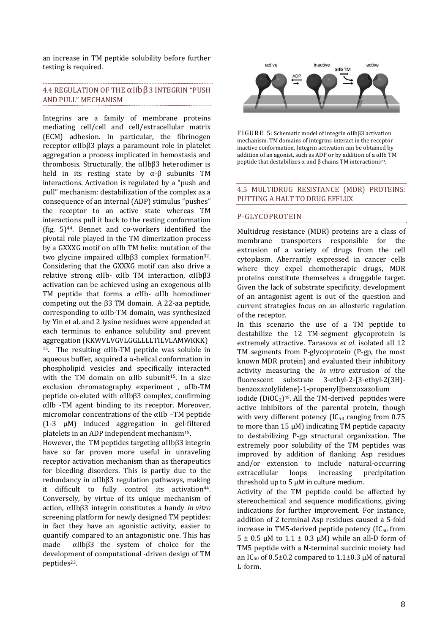<span id="page-7-0"></span>an increase in TM peptide solubility before further testing is required.

# 4.4 REGULATION OF THE αIIbβ3 INTEGRIN "PUSH AND PULL" MECHANISM

Integrins are a family of membrane proteins mediating cell/cell and cell/extracellular matrix (ECM) adhesion. In particular, the fibrinogen receptor αIIbβ3 plays a paramount role in platelet aggregation a process implicated in hemostasis and thrombosis. Structurally, the αIIbβ3 heterodimer is held in its resting state by  $\alpha$ - $\beta$  subunits TM interactions. Activation is regulated by a "push and pull" mechanism: destabilization of the complex as a consequence of an internal (ADP) stimulus "pushes" the receptor to an active state whereas TM interactions pull it back to the resting conformation (fig.  $5)^{44}$ . Bennet and co-workers identified the pivotal role played in the TM dimerization process by a GXXXG motif on αIIb TM helix: mutation of the two glycine impaired αIIbβ3 complex formation<sup>32</sup>. Considering that the GXXXG motif can also drive a relative strong αIIb‐ αIIb TM interaction, αIIbβ3 activation can be achieved using an exogenous αIIb TM peptide that forms a  $\alpha$ IIb-  $\alpha$ IIb homodimer competing out the β3 TM domain. A 22‐aa peptide, corresponding to αIIb‐TM domain, was synthesized by Yin et al. and 2 lysine residues were appended at each terminus to enhance solubility and prevent aggregation (KKWVLVGVLGGLLLLTILVLAMWKKK) <sup>15</sup>. The resulting  $\alpha$ IIb-TM peptide was soluble in aqueous buffer, acquired a α‐helical conformation in phospholipid vesicles and specifically interacted with the TM domain on  $\alpha$ IIb subunit<sup>15</sup>. In a size exclusion chromatography experiment , αIIb‐TM peptide co‐eluted with αIIbβ3 complex, confirming αIIb ‐TM agent binding to its receptor. Moreover, micromolar concentrations of the αIIb –TM peptide  $(1-3 \mu M)$  induced aggregation in gel-filtered platelets in an ADP independent mechanism15.

However, the TM peptides targeting  $\alpha$ IIb $\beta$ 3 integrin have so far proven more useful in unraveling receptor activation mechanism than as therapeutics for bleeding disorders. This is partly due to the redundancy in αIIbβ3 regulation pathways, making it difficult to fully control its activation<sup>44</sup>. Conversely, by virtue of its unique mechanism of action, αIIbβ3 integrin constitutes a handy *in vitro* screening platform for newly designed TM peptides: in fact they have an agonistic activity, easier to quantify compared to an antagonistic one. This has made αIIbβ3 the system of choice for the development of computational -driven design of TM peptides<sup>23</sup>.



FIGURE 5: Schematic model of integrin αIIbβ3 activation mechanism. TM domains of integrins interact in the receptor inactive conformation. Integrin activation can be obtained by addition of an agonist, such as ADP or by addition of a αIIb TM peptide that destabilizes  $\alpha$  and β chains TM interactions<sup>23</sup>.

## 4.5 MULTIDRUG RESISTANCE (MDR) PROTEINS: PUTTING A HALT TO DRUG EFFLUX

## P‐GLYCOPROTEIN

Multidrug resistance (MDR) proteins are a class of membrane transporters responsible for the extrusion of a variety of drugs from the cell cytoplasm. Aberrantly expressed in cancer cells where they expel chemotherapic drugs, MDR proteins constitute themselves a druggable target. Given the lack of substrate specificity, development of an antagonist agent is out of the question and current strategies focus on an allosteric regulation of the receptor.

In this scenario the use of a TM peptide to destabilize the 12 TM‐segment glycoprotein is extremely attractive. Tarasova *et al*. isolated all 12 TM segments from P‐glycoprotein (P‐gp, the most known MDR protein) and evaluated their inhibitory activity measuring the *in vitro* extrusion of the fluorescent substrate 3‐ethyl‐2‐[3‐ethyl‐2(3H)‐ benzoxazolylidene)‐1‐propenyl]benzoxazolium

iodide ( $DiOC<sub>2</sub>$ )<sup>45</sup>. All the TM-derived peptides were active inhibitors of the parental protein, though with very different potency  $(IC_{50}$  ranging from 0.75 to more than 15 μM) indicating TM peptide capacity to destabilizing P‐gp structural organization. The extremely poor solubility of the TM peptides was improved by addition of flanking Asp residues and/or extension to include natural‐occurring extracellular loops increasing precipitation threshold up to 5 μM in culture medium.

Activity of the TM peptide could be affected by stereochemical and sequence modifications, giving indications for further improvement. For instance, addition of 2 terminal Asp residues caused a 5‐fold increase in TM5-derived peptide potency  $[IC_{50}$  from  $5 \pm 0.5$  μM to  $1.1 \pm 0.3$  μM) while an all-D form of TM5 peptide with a N-terminal succinic moiety had an IC<sub>50</sub> of 0.5±0.2 compared to  $1.1\pm0.3$  uM of natural L‐form.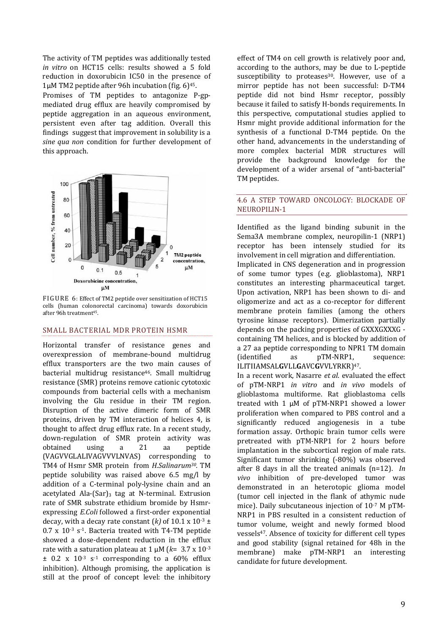<span id="page-8-0"></span>The activity of TM peptides was additionally tested *in vitro* on HCT15 cells: results showed a 5 fold reduction in doxorubicin IC50 in the presence of  $1\mu$ M TM2 peptide after 96h incubation (fig. 6)<sup>45</sup>.

Promises of TM peptides to antagonize P‐gp‐ mediated drug efflux are heavily compromised by peptide aggregation in an aqueous environment, persistent even after tag addition. Overall this findings suggest that improvement in solubility is a *ine qua non* condition for further development of *s* this approach.



FIGURE 6: Effect of TM2 peptide over sensitization of HCT15 ells (human colonorectal carcinoma) towards doxorubicin c after 96h treatment<sup>45</sup>.

#### SMALL BACTERIAL MDR PROTEIN HSMR

Horizontal transfer of resistance genes and overexpression of membrane‐bound multidrug efflux transporters are the two main causes of bacterial multidrug resistance<sup>46</sup>. Small multidrug resistance (SMR) proteins remove cationic cytotoxic compounds from bacterial cells with a mechanism involving the Glu residue in their TM region. Disruption of the active dimeric form of SMR proteins, driven by TM interaction of helices 4, is thought to affect drug efflux rate. In a recent study, down‐regulation of SMR protein activity was obtained using a 21 aa peptide (VAGVVGLALIVAGVVVLNVAS) corresponding to TM4 of Hsmr SMR protein from *H.Salinarum30.* TM peptide solubility was raised above 6.5 mg/l by addition of a C-terminal poly-lysine chain and an acetylated  $Ala-(Sar)_{3}$  tag at N-terminal. Extrusion rate of SMR substrate ethidium bromide by Hsmr‐ expressing *E.Coli* followed a first-order exponential decay, with a decay rate constant  $(k)$  of 10.1 x 10<sup>-3</sup> ±  $0.7$  x  $10^{-3}$  s<sup>-1</sup>. Bacteria treated with T4-TM peptide showed a dose-dependent reduction in the efflux rate with a saturation plateau at 1 μM (*k*= 3.7 x 10‐3  $\pm$  0.2 x 10<sup>-3</sup> s<sup>-1</sup> corresponding to a 60% efflux inhibition). Although promising, the application is still at the proof of concept level: the inhibitory

effect of TM4 on cell growth is relatively poor and, according to the authors, may be due to L‐peptide susceptibility to proteases<sup>30</sup>. However, use of a mirror peptide has not been successful: D‐TM4 peptide did not bind Hsmr receptor, possibly because it failed to satisfy H‐bonds requirements. In this perspective, computational studies applied to Hsmr might provide additional information for the synthesis of a functional D-TM4 peptide. On the other hand, advancements in the understanding of more complex bacterial MDR structures will provide the background knowledge for the development of a wider arsenal of "anti-bacterial" TM peptides.

## 4.6 A STEP TOWARD ONCOLOGY: BLOCKADE OF NEUROPIL IN-1

Identified as the ligand binding subunit in the Sema3A membrane complex, neuropilin‐1 (NRP1) receptor has been intensely studied for its involvement in cell migration and differentiation. Implicated in CNS degeneration and in progression of some tumor types (e.g. glioblastoma), NRP1 constitutes an interesting pharmaceutical target. Upon activation, NRP1 has been shown to di‐ and oligomerize and act as a co-receptor for different membrane protein families (among the others tyrosine kinase receptors). Dimerization partially depends on the packing properties of GXXXGXXXG ‐ containing TM helices, and is blocked by addition of a 27 aa peptide corresponding to NPR1 TM domain (identified as pTM‐NRP1, sequence: ILITIIAMSAL**G**VLL**G**AVC**G**VVLYRKR)47.

In a recent work, Nasarre *et al*. evaluated the effect of pTM‐NRP1 *in vitro* and *in vivo* models of glioblastoma multiforme. Rat glioblastoma cells treated with 1 μM of pTM‐NRP1 showed a lower proliferation when compared to PBS control and a significantly reduced angiogenesis in a tube formation assay. Orthopic brain tumor cells were pretreated with pTM‐NRP1 for 2 hours before implantation in the subcortical region of male rats. Significant tumor shrinking (-80%) was observed after 8 days in all the treated animals (n=12). *In vivo* inhibition of pre‐developed tumor was demonstrated in an heterotopic glioma model (tumor cell injected in the flank of athymic nude mice). Daily subcutaneous injection of 10<sup>-7</sup> M pTM-NRP1 in PBS resulted in a consistent reduction of tumor volume, weight and newly formed blood vessels<sup>47</sup>. Absence of toxicity for different cell types and good stability (signal retained for 48h in the membrane) make pTM-NRP1 an interesting andidate for future development. c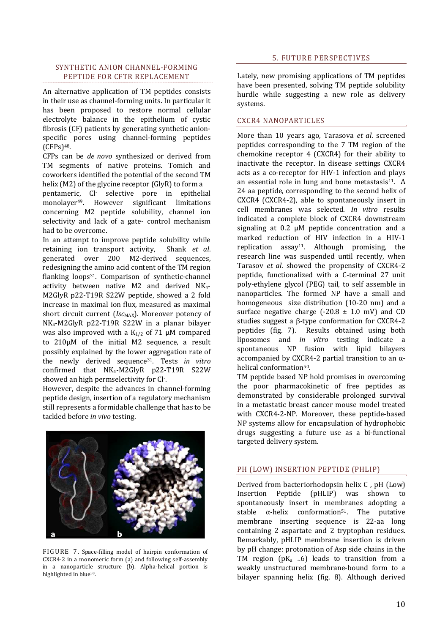## <span id="page-9-0"></span>SYNTHETIC ANION CHANNEL‐FORMING PEPTIDE FOR CFTR REPLACEMENT

An alternative application of TM peptides consists in their use as channel‐forming units. In particular it has been proposed to restore normal cellular electrolyte balance in the epithelium of cystic fibrosis (CF) patients by generating synthetic anion‐ specific pores using channel-forming peptides  $(CFPs)$ <sup>48</sup>.

CFPs can be *de novo* synthesized or derived from TM segments of native proteins. Tomich and coworkers identified the potential of the second TM helix (M2) of the glycine receptor (GlyR) to form a

pentameric, Cl‐ selective pore in epithelial monolayer49. However significant limitations concerning M2 peptide solubility, channel ion selectivity and lack of a gate- control mechanism had to be overcome.

In an attempt to improve peptide solubility while retaining ion transport activity, Shank *et al*. generated over 200 M2‐derived sequences, redesigning the amino acid content of the TM region flanking loops<sup>31</sup>. Comparison of synthetic-channel activity between native  $M2$  and derived  $NK<sub>4</sub>$ -M2GlyR p22‐T19R S22W peptide, showed a 2 fold increase in maximal ion flux, measured as maximal short circuit current (*Isc*<sub>MAX</sub>). Moreover potency of NK4‐M2GlyR p22‐T19R S22W in a planar bilayer was also improved with a  $K_{1/2}$  of 71  $\mu$ M compared to 210μM of the initial M2 sequence, a result possibly explained by the lower aggregation rate of the newly derived sequence31. Tests *in vitro* confirmed that NK<sub>4</sub>-M2GlvR p22-T19R S22W showed an high permselectivity for Cl‐ .

However, despite the advances in channel‐forming peptide design, insertion of a regulatory mechanism still represents a formidable challenge that has to be tackled before *in vivo* testing.



FIGURE 7. Space-filling model of hairpin conformation of CXCR4‐2 in a monomeric form (a) and following self‐assembly in a nanoparticle structure (b). Alpha-helical portion is highlighted in blue<sup>50</sup>.

Lately, new promising applications of TM peptides have been presented, solving TM peptide solubility hurdle while suggesting a new role as delivery systems.

#### **CXCR4 NANOPARTICLES**

More than 10 years ago, Tarasova *et al*. screened peptides corresponding to the 7 TM region of the chemokine receptor 4 (CXCR4) for their ability to inactivate the receptor. In disease settings CXCR4 acts as a co-receptor for HIV-1 infection and plays an essential role in lung and bone metastasis<sup>11</sup>. A 24 aa peptide, corresponding to the second helix of CXCR4 (CXCR4‐2), able to spontaneously insert in cell membranes was selected. *In vitro* results indicated a complete block of CXCR4 downstream signaling at 0.2 μM peptide concentration and a marked reduction of HIV infection in a HIV-1 replication  $assav^{11}$ . Although promising, the research line was suspended until recently, when Tarasov *et al*. showed the propensity of CXCR4‐2 peptide, functionalized with a C-terminal 27 unit poly‐ethylene glycol (PEG) tail, to self assemble in nanoparticles. The formed NP have a small and homogeneous size distribution (10-20 nm) and a surface negative charge  $(-20.8 \pm 1.0 \text{ mV})$  and CD studies suggest a β‐type conformation for CXCR4‐2 peptides (fig. 7). Results obtained using both liposomes and *in vitro* testing indicate a spontaneous NP fusion with lipid bilayers accompanied by CXCR4‐2 partial transition to an α‐ helical conformation<sup>50</sup>.

TM peptide based NP hold promises in overcoming the poor pharmacokinetic of free peptides as demonstrated by considerable prolonged survival in a metastatic breast cancer mouse model treated with CXCR4‐2‐NP. Moreover, these peptide‐based NP systems allow for encapsulation of hydrophobic drugs suggesting a future use as a bi-functional targeted delivery system.

#### PH (LOW) INSERTION PEPTIDE (PHLIP)

Derived from bacteriorhodopsin helix C , pH (Low) Insertion Peptide (pHLIP) was shown to spontaneously insert in membranes adopting a stable  $\alpha$ -helix conformation<sup>51</sup>. The putative membrane inserting sequence is 22-aa long containing 2 aspartate and 2 tryptophan residues. Remarkably, pHLIP membrane insertion is driven by pH change: protonation of Asp side chains in the TM region  $(pK_a \sim 6)$  leads to transition from a weakly unstructured membrane‐bound form to a bilayer spanning helix (fig. 8). Although derived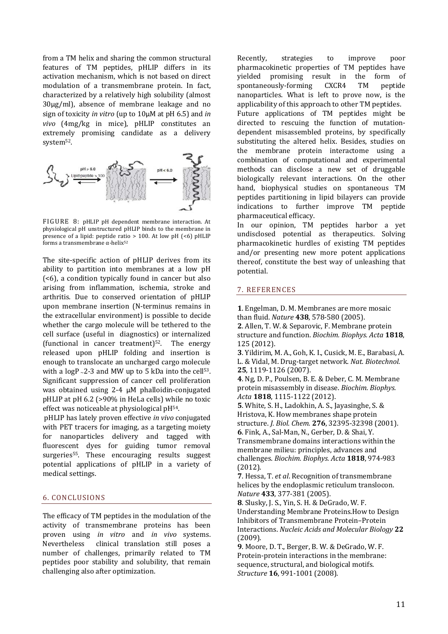<span id="page-10-0"></span>from a TM helix and sharing the common structural features of TM peptides, pHLIP differs in its activation mechanism, which is not based on direct modulation of a transmembrane protein. In fact, characterized by a relatively high solubility (almost 30μg/ml), absence of membrane leakage and no sign of toxicity *in vitro* (up to 10μM at pH 6.5) and *in vivo* (4mg/kg in mice), pHLIP constitutes an extremely promising candidate as a delivery system<sup>52</sup>.



FIGURE 8: pHLIP pH dependent membrane interaction. At physiological pH unstructured pHLIP binds to the membrane in presence of a lipid: peptide ratio  $> 100$ . At low pH  $( $6$ )$  pHLIP forms a transmembrane α‐helix52

The site-specific action of pHLIP derives from its ability to partition into membranes at a low pH (<6), a condition typically found in cancer but also arising from inflammation, ischemia, stroke and arthritis. Due to conserved orientation of pHLIP upon membrane insertion (N‐terminus remains in the extracellular environment) is possible to decide whether the cargo molecule will be tethered to the cell surface (useful in diagnostics) or internalized (functional in cancer treatment)<sup>52</sup>. The energy released upon pHLIP folding and insertion is enough to translocate an uncharged cargo molecule with a  $logP_{2}$ -2-3 and MW up to 5 kDa into the cell<sup>53</sup>. Significant suppression of cancer cell proliferation was obtained using 2-4 μM phalloidin-conjugated pHLIP at pH 6.2 (>90% in HeLa cells) while no toxic effect was noticeable at physiological pH<sup>54</sup>.

 pHLIP has lately proven effective *in vivo* conjugated with PET tracers for imaging, as a targeting moiety for nanoparticles delivery and tagged with fluorescent dyes for guiding tumor removal surgeries<sup>55</sup>. These encouraging results suggest potential applications of pHLIP in a variety of medical settings.

## 6. CONCLUSIONS

The efficacy of TM peptides in the modulation of the activity of transmembrane proteins has been proven using *in vitro* and *in vivo* systems. Nevertheless clinical translation still poses a number of challenges, primarily related to TM peptides poor stability and solubility, that remain challenging also after optimization.

Recently, strategies to improve poor pharmacokinetic properties of TM peptides have yielded promising result in the form of spontaneously-forming CXCR4 TM peptide nanoparticles. What is left to prove now, is the applicability of this approach to other TM peptides. Future applications of TM peptides might be directed to rescuing the function of mutationdependent misassembled proteins, by specifically substituting the altered helix. Besides, studies on the membrane protein interactome using a combination of computational and experimental methods can disclose a new set of druggable biologically relevant interactions. On the other hand, biophysical studies on spontaneous TM peptides partitioning in lipid bilayers can provide indications to further improve TM peptide pharmaceutical efficacy.

In our opinion, TM peptides harbor a yet undisclosed potential as therapeutics. Solving pharmacokinetic hurdles of existing TM peptides and/or presenting new more potent applications thereof, constitute the best way of unleashing that potential.

#### 7. REFERENCES

**1**. Engelman, D. M. Membranes are more mosaic than fluid. *Nature* **438**, 578‐580 (2005).

**2**. Allen, T. W. & Separovic, F. Membrane protein structure and function. *Biochim. Biophys. Acta* **1818**, 125 (2012).

**3**. Yildirim, M. A., Goh, K. I., Cusick, M. E., Barabasi, A. L. & Vidal, M. Drug‐target network. *Nat. Biotechnol.* **25**, 1119‐1126 (2007).

**4**. Ng, D. P., Poulsen, B. E. & Deber, C. M. Membrane protein misassembly in disease. *Biochim. Biophys. Acta* **1818**, 1115‐1122 (2012).

**5**. White, S. H., Ladokhin, A. S., Jayasinghe, S. & H ristova, K. How membranes shape protein . structure. *J. Biol. Chem.* **276**, 32395‐32398 (2001) **6**. Fink, A., Sal‐Man, N., Gerber, D. & Shai, Y. Transmembrane domains interactions within the membrane milieu: principles, advances and

challenges. *Biochim. Biophys. Acta* **1818**, 974‐983 (2012).

**7**. Hessa, T. *et al*. Recognition of transmembrane helices by the endoplasmic reticulum translocon. *Nature* **433**, 377‐381 (2005).

**8**. Slusky, J. S., Yin, S. H. & DeGrado, W. F. Understanding Membrane Proteins.How to Design Inhibitors of Transmembrane Protein–Protein Interactions. *Nucleic Acids and Molecular Biology* **22** (2009).

**9**. Moore, D. T., Berger, B. W. & DeGrado, W. F. Protein‐protein interactions in the membrane: sequence, structural, and biological motifs. *Structure* **16**, 991‐1001 (2008).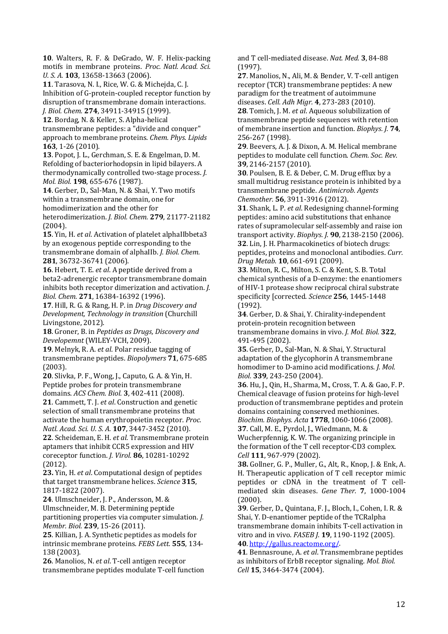**10**. Walters, R. F. & DeGrado, W. F. Helix‐packing motifs in membrane proteins. *Proc. Natl. Acad. Sci. U. S. A.* **103**, 13658‐13663 (2006).

**11**. Tarasova, N. I., Rice, W. G. & Michejda, C. J. Inhibition of G‐protein‐coupled receptor function by disruption of transmembrane domain interactions.

*J. Biol. Chem.* **274**, 34911‐34915 (1999).

**12**. Bordag, N. & Keller, S. Alpha‐helical transmembrane peptides: a "divide and conquer" approach to membrane proteins. *Chem. Phys. Lipids* **163**, 1‐26 (2010).

**13**. Popot, J. L., Gerchman, S. E. & Engelman, D. M. Refolding of bacteriorhodopsin in lipid bilayers. A thermodynamically controlled two‐stage process. *J. Mol. Biol.* **198**, 655‐676 (1987).

**14**. Gerber, D., Sal‐Man, N. & Shai, Y. Two motifs within a transmembrane domain, one for homodimerization and the other for heterodimerization. *J. Biol. Chem.* **279**, 21177‐21182 (2004).

**15**. Yin, H. *et al*. Activation of platelet alphaIIbbeta3 by an exogenous peptide corresponding to the transmembrane domain of alphaIIb. *I. Biol. Chem.* **281**, 36732‐36741 (2006).

**16**. Hebert, T. E. *et al*. A peptide derived from a beta2‐adrenergic receptor transmembrane domain inhibits both receptor dimerization and activation. *J. Bio l. Chem.* **271**, 16384‐16392 (1996).

**17**. Hill, R. G. & Rang, H. P. in *Drug Discovery and De hnology in transition* (Churchill *velopment, Tec* Liv ingstone, 2012).

**18**. Groner, B. in *Peptides as Drugs, Discovery and Developemnt* (WILEY‐VCH, 2009).

**19**. Melnyk, R. A. *et al*. Polar residue tagging of transmembrane peptides. *Biopolymers* **71**, 675‐685 (2003).

**20**. Slivka, P. F., Wong, J., Caputo, G. A. & Yin, H. Peptide probes for protein transmembrane domains. *ACS Chem. Biol.* **3**, 402‐411 (2008).

**21**. Cammett, T. J. *et al*. Construction and genetic selection of small transmembrane proteins that activate the human erythropoietin receptor. *Proc. Natl. Acad. Sci. U. S. A.* **107**, 3447‐3452 (2010).

**22**. Scheideman, E. H. *et al*. Transmembrane protein aptamers that inhibit CCR5 expression and HIV coreceptor function. *J. Virol.* 86, 10281-10292 (2012).

**23.** Yin, H. *et al*. Computational design of peptides that target transmembrane helices. *Science* **315**, 1817‐1822 (2007).

**24**. Ulmschneider, J. P., Andersson, M. & Ulmschneider, M. B. Determining peptide partitioning properties via computer simulation. *J. Membr. Biol.* **239**, 15‐26 (2011).

**25**. Killian, J. A. Synthetic peptides as models for intrinsic membrane proteins. FEBS Lett. 555, 134-138 (2003).

**26**. Manolios, N. *et al*. T‐cell antigen receptor transmembrane peptides modulate T‐cell function and T cell‐mediated disease. *Nat. Med.* **3**, 84‐88 (1997).

**27**. Manolios, N., Ali, M. & Bender, V. T‐cell antigen receptor (TCR) transmembrane peptides: A new paradigm for the treatment of autoimmune diseases. *Cell. Adh Migr.* **4**, 273‐283 (2010). **28**. Tomich, J. M. *et al*. Aqueous solubilization of transmembrane peptide sequences with retention

of membrane insertion and function. *Biophys. J.* **74**, 256‐267 (1998).

**29**. Beevers, A. J. & Dixon, A. M. Helical membrane peptides to modulate cell function. *Chem. Soc. Rev.* **39**, 2146‐2157 (2010).

**30**. Poulsen, B. E. & Deber, C. M. Drug efflux by a small multidrug resistance protein is inhibited by a transmembrane peptide. *Antimicrob. Agents Chemother.* **56**, 3911‐3916 (2012).

**31**. Shank, L. P. *et al*. Redesigning channel‐forming peptides: amino acid substitutions that enhance rates of supramolecular self-assembly and raise ion 6). transport activity. *Biophys. J.* **90**, 2138‐2150 (200 **32**. Lin, J. H. Pharmacokinetics of biotech drugs: peptides, proteins and monoclonal antibodies. *Curr. Drug Metab.* **10**, 661‐691 (2009).

**33**. Milton, R. C., Milton, S. C. & Kent, S. B. Total chemical synthesis of a D‐enzyme: the enantiomers of HIV‐1 protease show reciprocal chiral substrate specificity [corrected. *Science* **256**, 1445‐1448 (1992).

**34**. Gerber, D. & Shai, Y. Chirality‐independent protein‐protein recognition between transmembrane domains in vivo. *J. Mol. Biol.* **322**, 491‐495 (2002).

**35**. Gerber, D., Sal‐Man, N. & Shai, Y. Structural adaptation of the glycophorin A transmembrane homodimer to D‐amino acid modifications. *J. Mol. Biol.* **339**, 243‐250 (2004).

**36**. Hu, J., Qin, H., Sharma, M., Cross, T. A. & Gao, F. P. Chemical cleavage of fusion proteins for high‐level production of transmembrane peptides and protein domains containing conserved methionines. *Biochim. Biophys. Acta* **1778**, 1060‐1066 (2008).

**37**. Call, M. E., Pyrdol, J., Wiedmann, M. & Wucherpfennig, K. W. The organizing principle in the formation of the T cell receptor‐CD3 complex.

*Cell* **111**, 967‐979 (2002). **38.** Gollner, G. P., Muller, G., Alt, R., Knop, J. & Enk, A. H. Therapeutic application of T cell receptor mimic peptides or cDNA in the treatment of T cellmediated skin diseases. *Gene Ther.* **7**, 1000‐1004 (2000).

**39**. Gerber, D., Quintana, F. J., Bloch, I., Cohen, I. R. & Shai, Y. D‐enantiomer peptide of the TCRalpha transmembrane domain inhibits T-cell activation in vit ro and in vivo. *FASEB J.* **19**, 1190‐1192 (2005).

**40**. http://gallus.reactome.org/.

**41**. Bennasroune, A. *et al*. Transmembrane peptides as inhibitors of ErbB receptor signaling. *Mol. Biol. Cell* **15**, 3464‐3474 (2004).